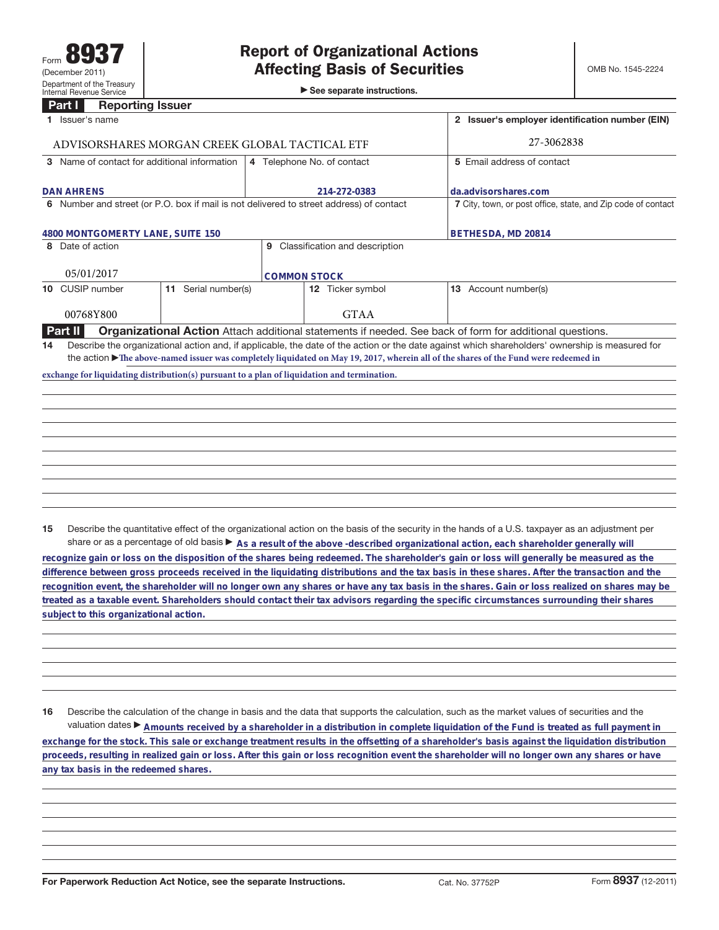►<br>► See separate instructions.

## **Part I Reporting Issuer**

|                                                | Issuer's name                                                                                                                                                                                                                                                                          |                     |   |                                | 2 Issuer's employer identification number (EIN)                                                          |  |
|------------------------------------------------|----------------------------------------------------------------------------------------------------------------------------------------------------------------------------------------------------------------------------------------------------------------------------------------|---------------------|---|--------------------------------|----------------------------------------------------------------------------------------------------------|--|
| ADVISORSHARES MORGAN CREEK GLOBAL TACTICAL ETF |                                                                                                                                                                                                                                                                                        |                     |   |                                | 27-3062838                                                                                               |  |
|                                                | 3 Name of contact for additional information                                                                                                                                                                                                                                           |                     |   | 4 Telephone No. of contact     | 5 Email address of contact                                                                               |  |
| <b>DAN AHRENS</b>                              |                                                                                                                                                                                                                                                                                        |                     |   | 214-272-0383                   | da.advisorshares.com                                                                                     |  |
|                                                | 6 Number and street (or P.O. box if mail is not delivered to street address) of contact                                                                                                                                                                                                |                     |   |                                | 7 City, town, or post office, state, and Zip code of contact                                             |  |
| 4800 MONTGOMERTY LANE, SUITE 150               |                                                                                                                                                                                                                                                                                        |                     |   |                                | BETHESDA, MD 20814                                                                                       |  |
|                                                | 8 Date of action                                                                                                                                                                                                                                                                       |                     | 9 | Classification and description |                                                                                                          |  |
|                                                | 05/01/2017                                                                                                                                                                                                                                                                             |                     |   | <b>COMMON STOCK</b>            |                                                                                                          |  |
|                                                | 10 CUSIP number                                                                                                                                                                                                                                                                        | 11 Serial number(s) |   | 12 Ticker symbol               | 13 Account number(s)                                                                                     |  |
|                                                | 00768Y800                                                                                                                                                                                                                                                                              |                     |   | <b>GTAA</b>                    |                                                                                                          |  |
|                                                | Part II                                                                                                                                                                                                                                                                                |                     |   |                                | Organizational Action Attach additional statements if needed. See back of form for additional questions. |  |
| 14                                             | Describe the organizational action and, if applicable, the date of the action or the date against which shareholders' ownership is measured for<br>the action The above-named issuer was completely liquidated on May 19, 2017, wherein all of the shares of the Fund were redeemed in |                     |   |                                |                                                                                                          |  |
|                                                | exchange for liquidating distribution(s) pursuant to a plan of liquidation and termination.                                                                                                                                                                                            |                     |   |                                |                                                                                                          |  |
|                                                |                                                                                                                                                                                                                                                                                        |                     |   |                                |                                                                                                          |  |
|                                                |                                                                                                                                                                                                                                                                                        |                     |   |                                |                                                                                                          |  |
|                                                |                                                                                                                                                                                                                                                                                        |                     |   |                                |                                                                                                          |  |
|                                                |                                                                                                                                                                                                                                                                                        |                     |   |                                |                                                                                                          |  |
|                                                |                                                                                                                                                                                                                                                                                        |                     |   |                                |                                                                                                          |  |

**15** Describe the quantitative effect of the organizational action on the basis of the security in the hands of a U.S. taxpayer as an adjustment per share or as a percentage of old basis  $\blacktriangleright$  As a result of the above -described organizational action, each shareholder generally will

**recognize gain or loss on the disposition of the shares being redeemed. The shareholder's gain or loss will generally be measured as the difference between gross proceeds received in the liquidating distributions and the tax basis in these shares. After the transaction and the recognition event, the shareholder will no longer own any shares or have any tax basis in the shares. Gain or loss realized on shares may be treated as a taxable event. Shareholders should contact their tax advisors regarding the specific circumstances surrounding their shares subject to this organizational action.**

**16** Describe the calculation of the change in basis and the data that supports the calculation, such as the market values of securities and the valuation dates ▶ Amounts received by a shareholder in a distribution in complete liquidation of the Fund is treated as full payment in **exchange for the stock. This sale or exchange treatment results in the offsetting of a shareholder's basis against the liquidation distribution proceeds, resulting in realized gain or loss. After this gain or loss recognition event the shareholder will no longer own any shares or have any tax basis in the redeemed shares.**